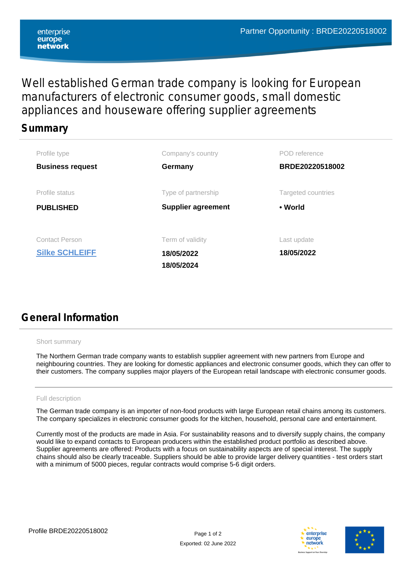# Well established German trade company is looking for European manufacturers of electronic consumer goods, small domestic appliances and houseware offering supplier agreements

### **Summary**

| Profile type                                   | Company's country                            | POD reference             |  |
|------------------------------------------------|----------------------------------------------|---------------------------|--|
| <b>Business request</b>                        | Germany                                      | BRDE20220518002           |  |
| Profile status                                 | Type of partnership                          | Targeted countries        |  |
| <b>PUBLISHED</b>                               | <b>Supplier agreement</b>                    | • World                   |  |
|                                                |                                              |                           |  |
| <b>Contact Person</b><br><b>Silke SCHLEIFF</b> | Term of validity<br>18/05/2022<br>18/05/2024 | Last update<br>18/05/2022 |  |

# **General Information**

#### Short summary

The Northern German trade company wants to establish supplier agreement with new partners from Europe and neighbouring countries. They are looking for domestic appliances and electronic consumer goods, which they can offer to their customers. The company supplies major players of the European retail landscape with electronic consumer goods.

### Full description

The German trade company is an importer of non-food products with large European retail chains among its customers. The company specializes in electronic consumer goods for the kitchen, household, personal care and entertainment.

Currently most of the products are made in Asia. For sustainability reasons and to diversify supply chains, the company would like to expand contacts to European producers within the established product portfolio as described above. Supplier agreements are offered: Products with a focus on sustainability aspects are of special interest. The supply chains should also be clearly traceable. Suppliers should be able to provide larger delivery quantities - test orders start with a minimum of 5000 pieces, regular contracts would comprise 5-6 digit orders.